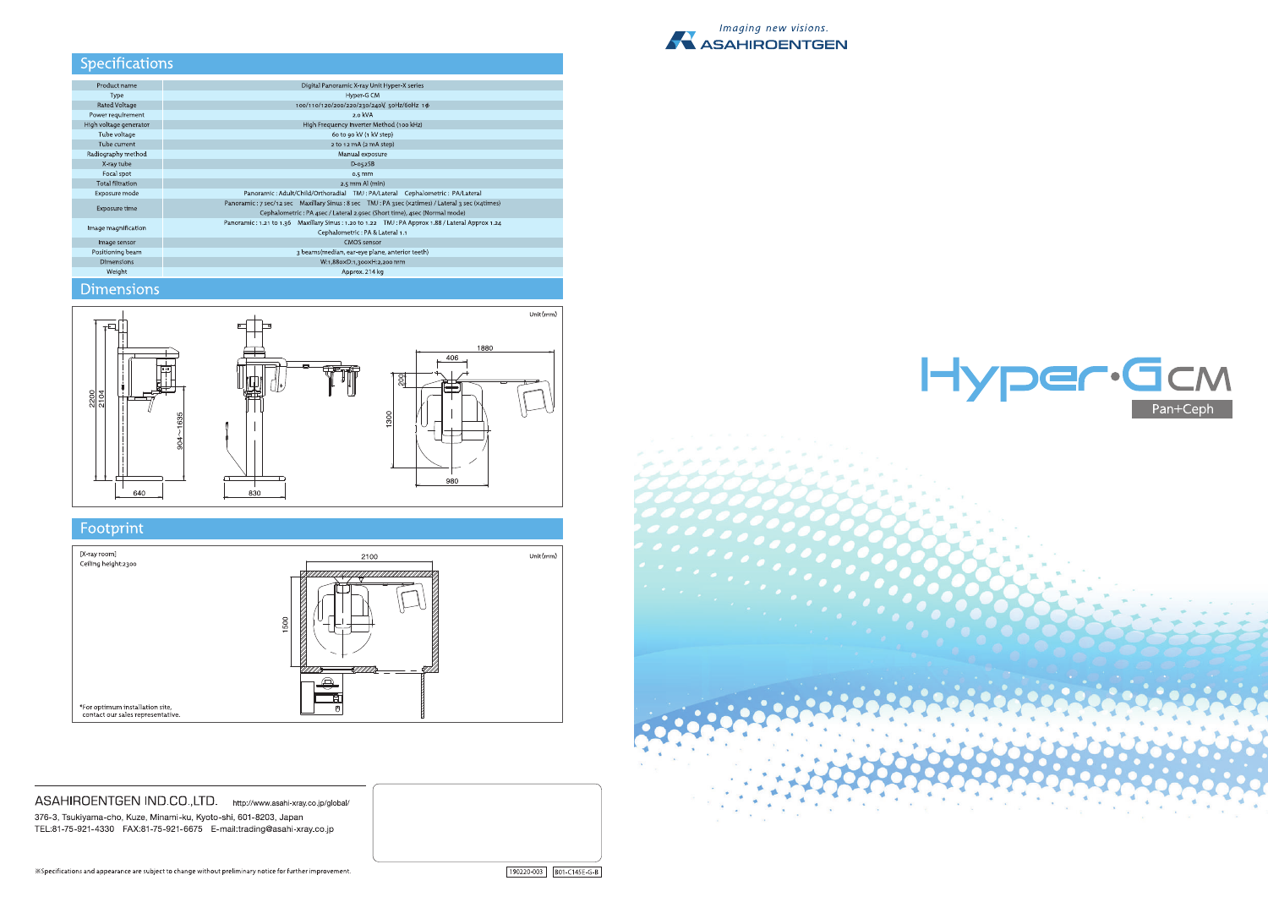

## Specifications

| Product name            | Digital Panoramic X-ray Unit Hyper-X series                                                     |
|-------------------------|-------------------------------------------------------------------------------------------------|
| Type                    | Hyper-G CM                                                                                      |
| <b>Rated Voltage</b>    | 100/110/120/200/220/230/240V, 50Hz/60Hz 1 $\phi$                                                |
| Power requirement       | $2.0$ kVA                                                                                       |
| High voltage generator  | High Frequency Inverter Method (100 kHz)                                                        |
| Tube voltage            | 60 to 90 kV (1 kV step)                                                                         |
| Tube current            | 2 to 12 mA (2 mA step)                                                                          |
| Radiography method      | Manual exposure                                                                                 |
| X-ray tube              | $D-052SB$                                                                                       |
| Focal spot              | $0.5$ mm                                                                                        |
| <b>Total filtration</b> | $2.5$ mm Al $(min)$                                                                             |
| Exposure mode           | Panoramic: Adult/Child/Orthoradial TMJ: PA/Lateral Cephalometric: PA/Lateral                    |
| <b>Exposure time</b>    | Panoramic: 7 sec/12 sec Maxillary Sinus: 8 sec TMJ: PA 3sec (x2times) / Lateral 3 sec (x4times) |
|                         | Cephalometric: PA 4sec / Lateral 2.9sec (Short time), 4sec (Normal mode)                        |
| Image magnification     | Panoramic: 1.21 to 1.36 Maxillary Sinus: 1.20 to 1.22 TMJ: PA Approx 1.88 / Lateral Approx 1.24 |
|                         | Cephalometric: PA & Lateral 1.1                                                                 |
| Image sensor            | CMOS sensor                                                                                     |
| Positioning beam        | 3 beams(median, ear-eye plane, anterior teeth)                                                  |
| <b>Dimensions</b>       | W:1,880×D:1,300×H:2,200 mm                                                                      |
| Weight                  | Approx. 214 kg                                                                                  |
|                         |                                                                                                 |

# **Dimensions**



# Footprint



ASAHIROENTGEN IND.CO.,LTD. http://www.asahi-xray.co.jp/global/ 376-3, Tsukiyama-cho, Kuze, Minami-ku, Kyoto-shi, 601-8203, Japan TEL:81-75-921-4330 FAX:81-75-921-6675 E-mail:trading@asahi-xray.co.jp